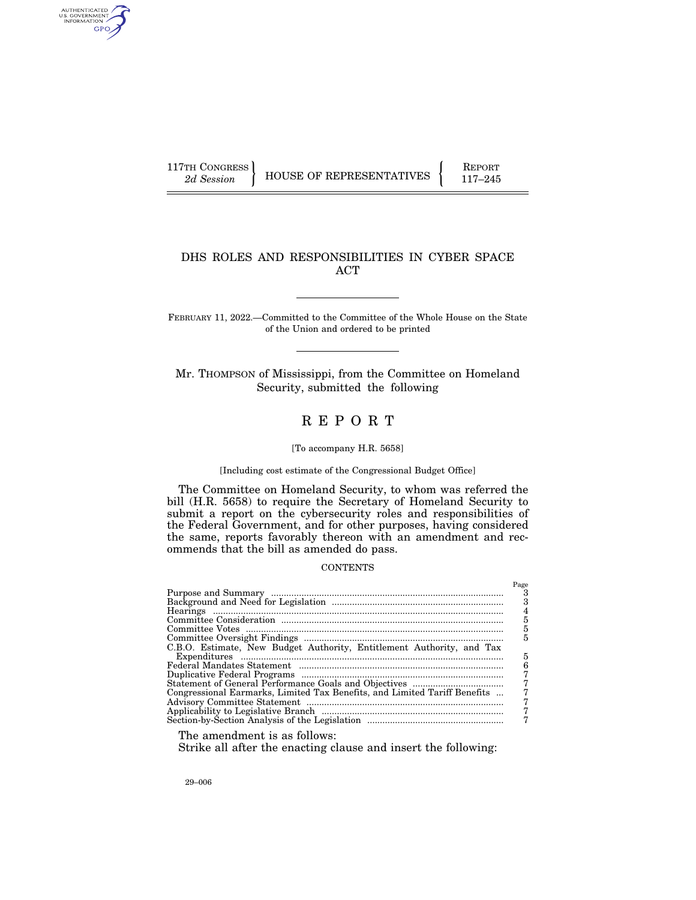AUTHENTICATED<br>U.S. GOVERNMENT<br>INFORMATION GPO

117TH CONGRESS HOUSE OF REPRESENTATIVES FEPORT 117-245

## DHS ROLES AND RESPONSIBILITIES IN CYBER SPACE ACT

FEBRUARY 11, 2022.—Committed to the Committee of the Whole House on the State of the Union and ordered to be printed

Mr. THOMPSON of Mississippi, from the Committee on Homeland Security, submitted the following

# R E P O R T

## [To accompany H.R. 5658]

## [Including cost estimate of the Congressional Budget Office]

The Committee on Homeland Security, to whom was referred the bill (H.R. 5658) to require the Secretary of Homeland Security to submit a report on the cybersecurity roles and responsibilities of the Federal Government, and for other purposes, having considered the same, reports favorably thereon with an amendment and recommends that the bill as amended do pass.

## **CONTENTS**

|                                                                           | Page |
|---------------------------------------------------------------------------|------|
|                                                                           |      |
|                                                                           |      |
|                                                                           |      |
|                                                                           |      |
|                                                                           | 5    |
|                                                                           | 5    |
| C.B.O. Estimate, New Budget Authority, Entitlement Authority, and Tax     |      |
|                                                                           | 5    |
|                                                                           |      |
|                                                                           |      |
|                                                                           |      |
| Congressional Earmarks, Limited Tax Benefits, and Limited Tariff Benefits |      |
|                                                                           |      |
|                                                                           |      |
|                                                                           |      |
|                                                                           |      |

The amendment is as follows:

Strike all after the enacting clause and insert the following: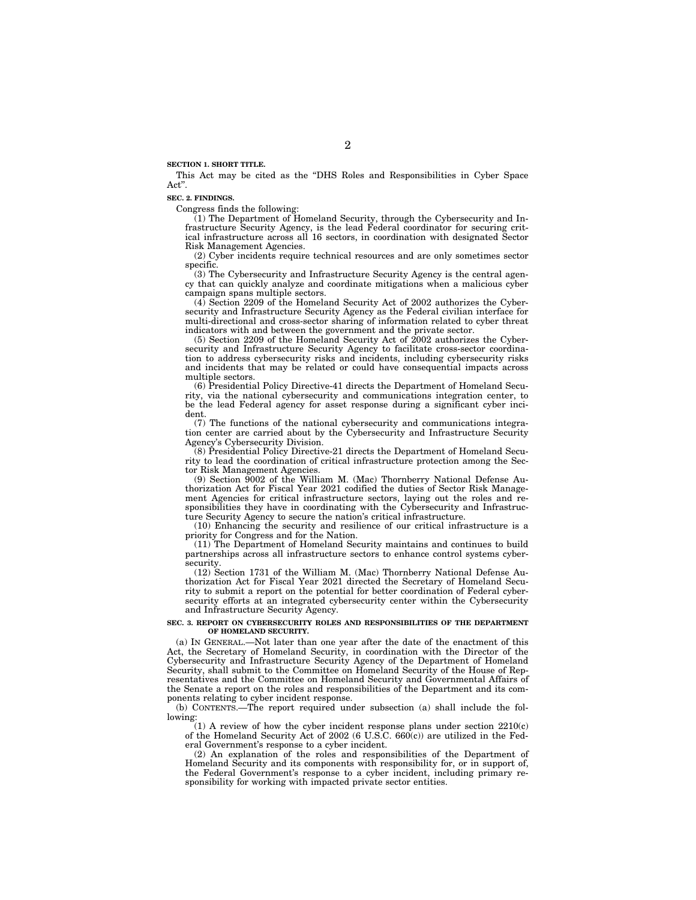**SECTION 1. SHORT TITLE.** 

This Act may be cited as the ''DHS Roles and Responsibilities in Cyber Space Act''.

#### **SEC. 2. FINDINGS.**

Congress finds the following:

(1) The Department of Homeland Security, through the Cybersecurity and Infrastructure Security Agency, is the lead Federal coordinator for securing critical infrastructure across all 16 sectors, in coordination with designated Sector Risk Management Agencies.

(2) Cyber incidents require technical resources and are only sometimes sector specific.

(3) The Cybersecurity and Infrastructure Security Agency is the central agency that can quickly analyze and coordinate mitigations when a malicious cyber campaign spans multiple sectors.

(4) Section 2209 of the Homeland Security Act of 2002 authorizes the Cybersecurity and Infrastructure Security Agency as the Federal civilian interface for multi-directional and cross-sector sharing of information related to cyber threat indicators with and between the government and the private sector.

(5) Section 2209 of the Homeland Security Act of 2002 authorizes the Cybersecurity and Infrastructure Security Agency to facilitate cross-sector coordination to address cybersecurity risks and incidents, including cybersecurity risks and incidents that may be related or could have consequential impacts across multiple sectors.

(6) Presidential Policy Directive-41 directs the Department of Homeland Security, via the national cybersecurity and communications integration center, to be the lead Federal agency for asset response during a significant cyber incident.

(7) The functions of the national cybersecurity and communications integration center are carried about by the Cybersecurity and Infrastructure Security Agency's Cybersecurity Division.

(8) Presidential Policy Directive-21 directs the Department of Homeland Security to lead the coordination of critical infrastructure protection among the Sector Risk Management Agencies.

(9) Section 9002 of the William M. (Mac) Thornberry National Defense Authorization Act for Fiscal Year 2021 codified the duties of Sector Risk Management Agencies for critical infrastructure sectors, laying out the roles and responsibilities they have in coordinating with the Cybersecurity and Infrastructure Security Agency to secure the nation's critical infrastructure.

(10) Enhancing the security and resilience of our critical infrastructure is a priority for Congress and for the Nation.

(11) The Department of Homeland Security maintains and continues to build partnerships across all infrastructure sectors to enhance control systems cybersecurity.

(12) Section 1731 of the William M. (Mac) Thornberry National Defense Authorization Act for Fiscal Year 2021 directed the Secretary of Homeland Security to submit a report on the potential for better coordination of Federal cybersecurity efforts at an integrated cybersecurity center within the Cybersecurity and Infrastructure Security Agency.

#### **SEC. 3. REPORT ON CYBERSECURITY ROLES AND RESPONSIBILITIES OF THE DEPARTMENT OF HOMELAND SECURITY.**

(a) IN GENERAL.—Not later than one year after the date of the enactment of this Act, the Secretary of Homeland Security, in coordination with the Director of the Cybersecurity and Infrastructure Security Agency of the Department of Homeland Security, shall submit to the Committee on Homeland Security of the House of Representatives and the Committee on Homeland Security and Governmental Affairs of the Senate a report on the roles and responsibilities of the Department and its components relating to cyber incident response.

(b) CONTENTS.—The report required under subsection (a) shall include the following:

(1) A review of how the cyber incident response plans under section 2210(c) of the Homeland Security Act of 2002 (6 U.S.C. 660(c)) are utilized in the Federal Government's response to a cyber incident.

(2) An explanation of the roles and responsibilities of the Department of Homeland Security and its components with responsibility for, or in support of, the Federal Government's response to a cyber incident, including primary responsibility for working with impacted private sector entities.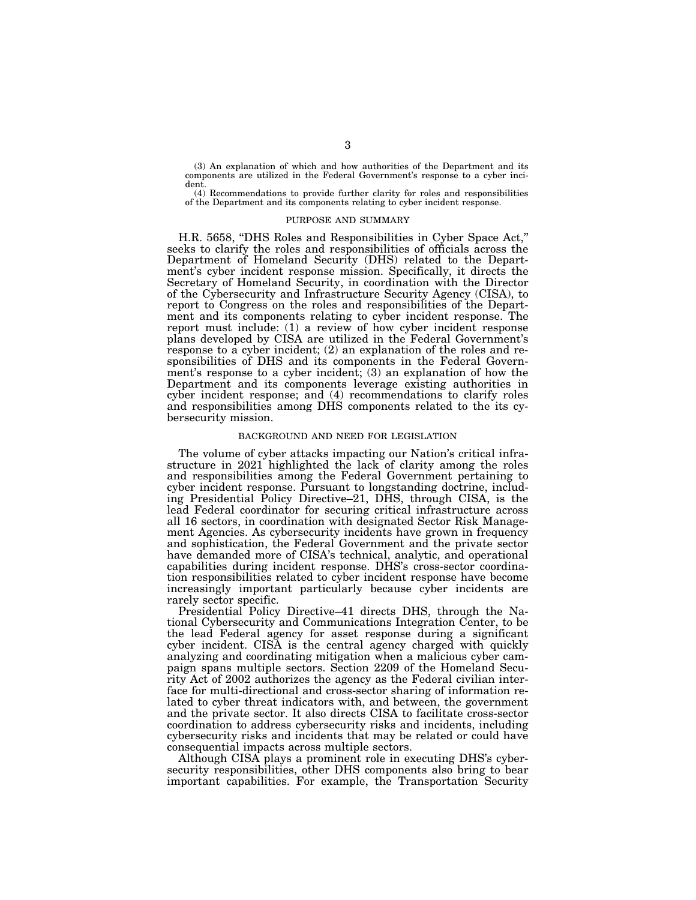(3) An explanation of which and how authorities of the Department and its components are utilized in the Federal Government's response to a cyber incident.

(4) Recommendations to provide further clarity for roles and responsibilities of the Department and its components relating to cyber incident response.

#### PURPOSE AND SUMMARY

H.R. 5658, ''DHS Roles and Responsibilities in Cyber Space Act,'' seeks to clarify the roles and responsibilities of officials across the Department of Homeland Security (DHS) related to the Department's cyber incident response mission. Specifically, it directs the Secretary of Homeland Security, in coordination with the Director of the Cybersecurity and Infrastructure Security Agency (CISA), to report to Congress on the roles and responsibilities of the Department and its components relating to cyber incident response. The report must include: (1) a review of how cyber incident response plans developed by CISA are utilized in the Federal Government's response to a cyber incident; (2) an explanation of the roles and responsibilities of DHS and its components in the Federal Government's response to a cyber incident; (3) an explanation of how the Department and its components leverage existing authorities in cyber incident response; and (4) recommendations to clarify roles and responsibilities among DHS components related to the its cybersecurity mission.

### BACKGROUND AND NEED FOR LEGISLATION

The volume of cyber attacks impacting our Nation's critical infrastructure in 2021 highlighted the lack of clarity among the roles and responsibilities among the Federal Government pertaining to cyber incident response. Pursuant to longstanding doctrine, including Presidential Policy Directive–21, DHS, through CISA, is the lead Federal coordinator for securing critical infrastructure across all 16 sectors, in coordination with designated Sector Risk Management Agencies. As cybersecurity incidents have grown in frequency and sophistication, the Federal Government and the private sector have demanded more of CISA's technical, analytic, and operational capabilities during incident response. DHS's cross-sector coordination responsibilities related to cyber incident response have become increasingly important particularly because cyber incidents are rarely sector specific.

Presidential Policy Directive–41 directs DHS, through the National Cybersecurity and Communications Integration Center, to be the lead Federal agency for asset response during a significant cyber incident. CISA is the central agency charged with quickly analyzing and coordinating mitigation when a malicious cyber campaign spans multiple sectors. Section 2209 of the Homeland Security Act of 2002 authorizes the agency as the Federal civilian interface for multi-directional and cross-sector sharing of information related to cyber threat indicators with, and between, the government and the private sector. It also directs CISA to facilitate cross-sector coordination to address cybersecurity risks and incidents, including cybersecurity risks and incidents that may be related or could have consequential impacts across multiple sectors.

Although CISA plays a prominent role in executing DHS's cybersecurity responsibilities, other DHS components also bring to bear important capabilities. For example, the Transportation Security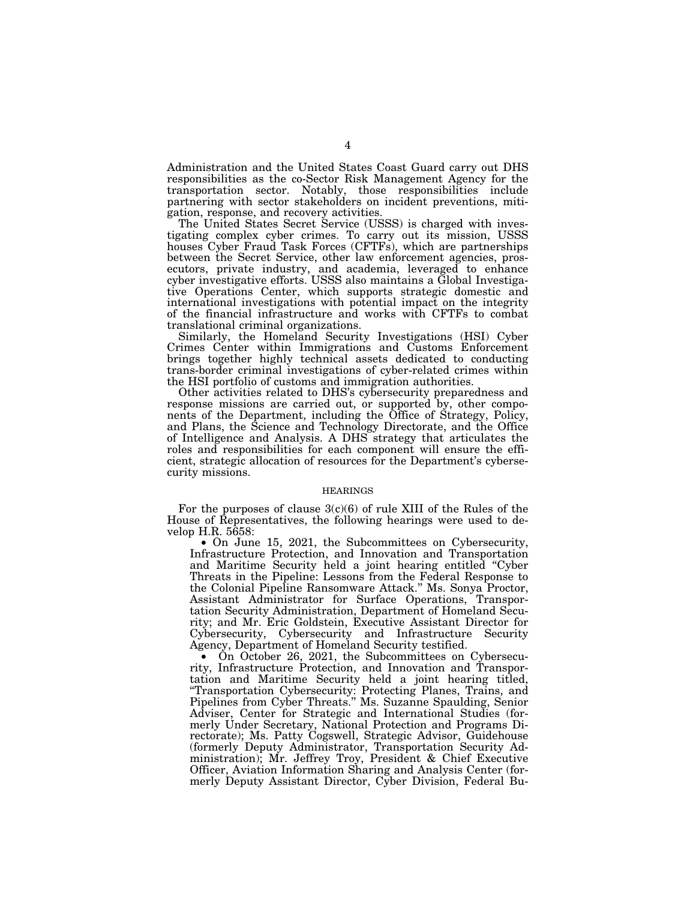Administration and the United States Coast Guard carry out DHS responsibilities as the co-Sector Risk Management Agency for the transportation sector. Notably, those responsibilities include partnering with sector stakeholders on incident preventions, mitigation, response, and recovery activities.

The United States Secret Service (USSS) is charged with investigating complex cyber crimes. To carry out its mission, USSS houses Cyber Fraud Task Forces (CFTFs), which are partnerships between the Secret Service, other law enforcement agencies, prosecutors, private industry, and academia, leveraged to enhance cyber investigative efforts. USSS also maintains a Global Investigative Operations Center, which supports strategic domestic and international investigations with potential impact on the integrity of the financial infrastructure and works with CFTFs to combat translational criminal organizations.

Similarly, the Homeland Security Investigations (HSI) Cyber Crimes Center within Immigrations and Customs Enforcement brings together highly technical assets dedicated to conducting trans-border criminal investigations of cyber-related crimes within the HSI portfolio of customs and immigration authorities.

Other activities related to DHS's cybersecurity preparedness and response missions are carried out, or supported by, other components of the Department, including the Office of Strategy, Policy, and Plans, the Science and Technology Directorate, and the Office of Intelligence and Analysis. A DHS strategy that articulates the roles and responsibilities for each component will ensure the efficient, strategic allocation of resources for the Department's cybersecurity missions.

### HEARINGS

For the purposes of clause  $3(c)(6)$  of rule XIII of the Rules of the House of Representatives, the following hearings were used to develop H.R. 5658:

• On June 15, 2021, the Subcommittees on Cybersecurity, Infrastructure Protection, and Innovation and Transportation and Maritime Security held a joint hearing entitled ''Cyber Threats in the Pipeline: Lessons from the Federal Response to the Colonial Pipeline Ransomware Attack.'' Ms. Sonya Proctor, Assistant Administrator for Surface Operations, Transportation Security Administration, Department of Homeland Security; and Mr. Eric Goldstein, Executive Assistant Director for Cybersecurity, Cybersecurity and Infrastructure Security Agency, Department of Homeland Security testified.

• On October 26, 2021, the Subcommittees on Cybersecurity, Infrastructure Protection, and Innovation and Transportation and Maritime Security held a joint hearing titled, ''Transportation Cybersecurity: Protecting Planes, Trains, and Pipelines from Cyber Threats.'' Ms. Suzanne Spaulding, Senior Adviser, Center for Strategic and International Studies (formerly Under Secretary, National Protection and Programs Directorate); Ms. Patty Cogswell, Strategic Advisor, Guidehouse (formerly Deputy Administrator, Transportation Security Administration); Mr. Jeffrey Troy, President & Chief Executive Officer, Aviation Information Sharing and Analysis Center (formerly Deputy Assistant Director, Cyber Division, Federal Bu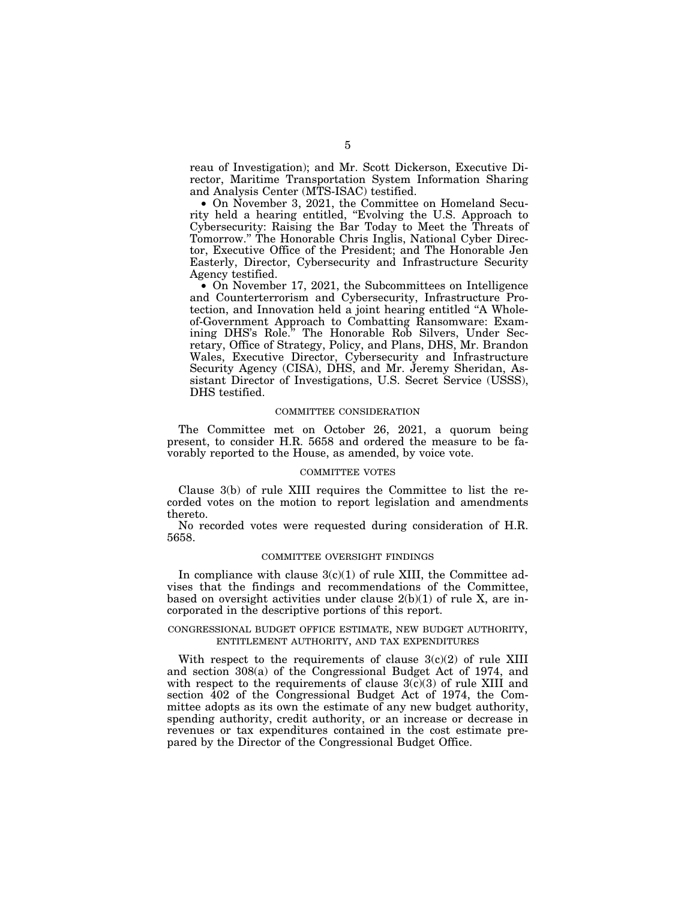reau of Investigation); and Mr. Scott Dickerson, Executive Director, Maritime Transportation System Information Sharing and Analysis Center (MTS-ISAC) testified.

• On November 3, 2021, the Committee on Homeland Security held a hearing entitled, ''Evolving the U.S. Approach to Cybersecurity: Raising the Bar Today to Meet the Threats of Tomorrow.'' The Honorable Chris Inglis, National Cyber Director, Executive Office of the President; and The Honorable Jen Easterly, Director, Cybersecurity and Infrastructure Security Agency testified.

• On November 17, 2021, the Subcommittees on Intelligence and Counterterrorism and Cybersecurity, Infrastructure Protection, and Innovation held a joint hearing entitled ''A Wholeof-Government Approach to Combatting Ransomware: Examining DHS's Role." The Honorable Rob Silvers, Under Secretary, Office of Strategy, Policy, and Plans, DHS, Mr. Brandon Wales, Executive Director, Cybersecurity and Infrastructure Security Agency (CISA), DHS, and Mr. Jeremy Sheridan, Assistant Director of Investigations, U.S. Secret Service (USSS), DHS testified.

#### COMMITTEE CONSIDERATION

The Committee met on October 26, 2021, a quorum being present, to consider H.R. 5658 and ordered the measure to be favorably reported to the House, as amended, by voice vote.

## COMMITTEE VOTES

Clause 3(b) of rule XIII requires the Committee to list the recorded votes on the motion to report legislation and amendments thereto.

No recorded votes were requested during consideration of H.R. 5658.

## COMMITTEE OVERSIGHT FINDINGS

In compliance with clause  $3(c)(1)$  of rule XIII, the Committee advises that the findings and recommendations of the Committee, based on oversight activities under clause  $2(b)(1)$  of rule X, are incorporated in the descriptive portions of this report.

## CONGRESSIONAL BUDGET OFFICE ESTIMATE, NEW BUDGET AUTHORITY, ENTITLEMENT AUTHORITY, AND TAX EXPENDITURES

With respect to the requirements of clause  $3(c)(2)$  of rule XIII and section 308(a) of the Congressional Budget Act of 1974, and with respect to the requirements of clause  $3(c)(3)$  of rule XIII and section 402 of the Congressional Budget Act of 1974, the Committee adopts as its own the estimate of any new budget authority, spending authority, credit authority, or an increase or decrease in revenues or tax expenditures contained in the cost estimate prepared by the Director of the Congressional Budget Office.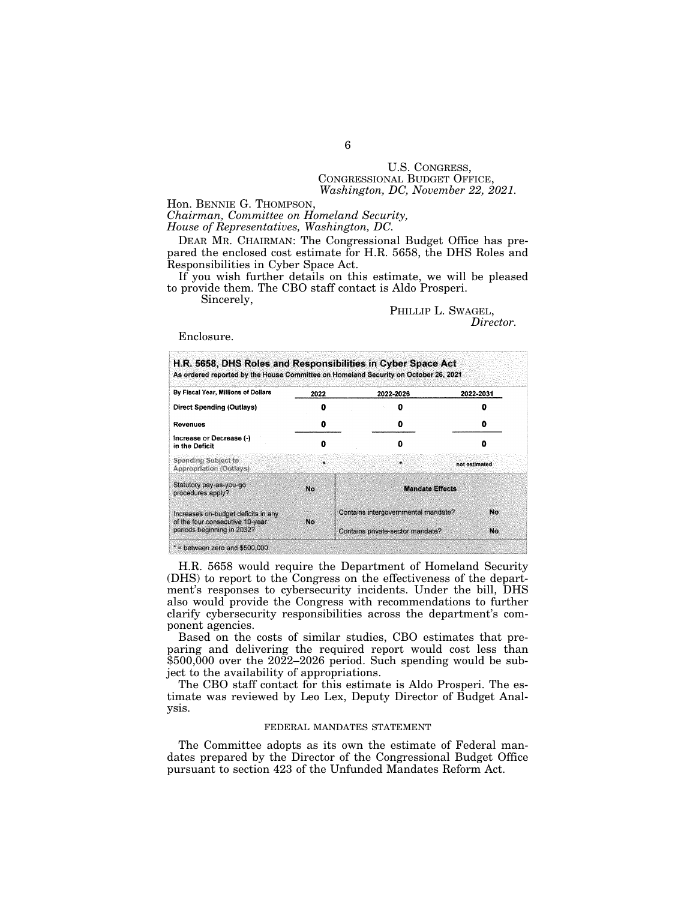# U.S. CONGRESS, CONGRESSIONAL BUDGET OFFICE, *Washington, DC, November 22, 2021.*

Hon. BENNIE G. THOMPSON,

*Chairman, Committee on Homeland Security, House of Representatives, Washington, DC.* 

DEAR MR. CHAIRMAN: The Congressional Budget Office has prepared the enclosed cost estimate for H.R. 5658, the DHS Roles and Responsibilities in Cyber Space Act.

If you wish further details on this estimate, we will be pleased to provide them. The CBO staff contact is Aldo Prosperi.

Sincerely,

PHILLIP L. SWAGEL, *Director.* 

Enclosure.

| By Fiscal Year, Millions of Dollars                                                                  | 2022 | 2022-2026                           | 2022-2031     |
|------------------------------------------------------------------------------------------------------|------|-------------------------------------|---------------|
| <b>Direct Spending (Outlays)</b>                                                                     |      |                                     |               |
| Revenues                                                                                             | o    |                                     |               |
| Increase or Decrease (-)<br>in the Deficit                                                           |      | n                                   | Ω             |
| Spending Subject to<br><b>Appropriation (Outlays)</b>                                                | ä.   | ÷.                                  | not estimated |
| Statutory pay-as-you-go<br>procedures apply?                                                         | No.  | <b>Mandate Effects</b>              |               |
| Increases on-budget deficits in any<br>of the four consecutive 10-year<br>periods beginning in 2032? | No.  | Contains intergovernmental mandate? | No            |
|                                                                                                      |      | Contains private-sector mandate?    | No.           |

H.R. 5658 would require the Department of Homeland Security (DHS) to report to the Congress on the effectiveness of the department's responses to cybersecurity incidents. Under the bill, DHS also would provide the Congress with recommendations to further clarify cybersecurity responsibilities across the department's component agencies.

Based on the costs of similar studies, CBO estimates that preparing and delivering the required report would cost less than \$500,000 over the 2022–2026 period. Such spending would be subject to the availability of appropriations.

The CBO staff contact for this estimate is Aldo Prosperi. The estimate was reviewed by Leo Lex, Deputy Director of Budget Analysis.

## FEDERAL MANDATES STATEMENT

The Committee adopts as its own the estimate of Federal mandates prepared by the Director of the Congressional Budget Office pursuant to section 423 of the Unfunded Mandates Reform Act.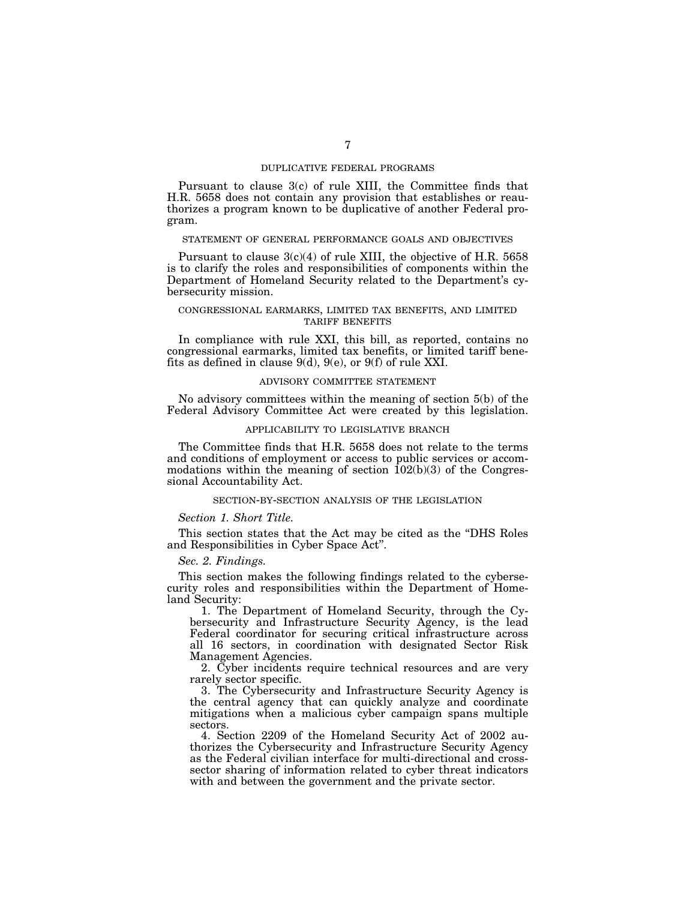## DUPLICATIVE FEDERAL PROGRAMS

Pursuant to clause 3(c) of rule XIII, the Committee finds that H.R. 5658 does not contain any provision that establishes or reauthorizes a program known to be duplicative of another Federal program.

#### STATEMENT OF GENERAL PERFORMANCE GOALS AND OBJECTIVES

Pursuant to clause  $3(c)(4)$  of rule XIII, the objective of H.R. 5658 is to clarify the roles and responsibilities of components within the Department of Homeland Security related to the Department's cybersecurity mission.

## CONGRESSIONAL EARMARKS, LIMITED TAX BENEFITS, AND LIMITED TARIFF BENEFITS

In compliance with rule XXI, this bill, as reported, contains no congressional earmarks, limited tax benefits, or limited tariff benefits as defined in clause 9(d), 9(e), or 9(f) of rule XXI.

## ADVISORY COMMITTEE STATEMENT

No advisory committees within the meaning of section 5(b) of the Federal Advisory Committee Act were created by this legislation.

## APPLICABILITY TO LEGISLATIVE BRANCH

The Committee finds that H.R. 5658 does not relate to the terms and conditions of employment or access to public services or accommodations within the meaning of section  $102(b)(3)$  of the Congressional Accountability Act.

## SECTION-BY-SECTION ANALYSIS OF THE LEGISLATION

#### *Section 1. Short Title.*

This section states that the Act may be cited as the ''DHS Roles and Responsibilities in Cyber Space Act''.

## *Sec. 2. Findings.*

This section makes the following findings related to the cybersecurity roles and responsibilities within the Department of Homeland Security:

1. The Department of Homeland Security, through the Cybersecurity and Infrastructure Security Agency, is the lead Federal coordinator for securing critical infrastructure across all 16 sectors, in coordination with designated Sector Risk Management Agencies.

2. Cyber incidents require technical resources and are very rarely sector specific.

3. The Cybersecurity and Infrastructure Security Agency is the central agency that can quickly analyze and coordinate mitigations when a malicious cyber campaign spans multiple sectors.

4. Section 2209 of the Homeland Security Act of 2002 authorizes the Cybersecurity and Infrastructure Security Agency as the Federal civilian interface for multi-directional and crosssector sharing of information related to cyber threat indicators with and between the government and the private sector.